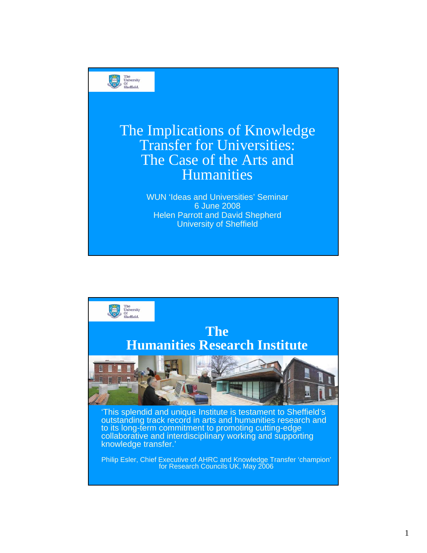

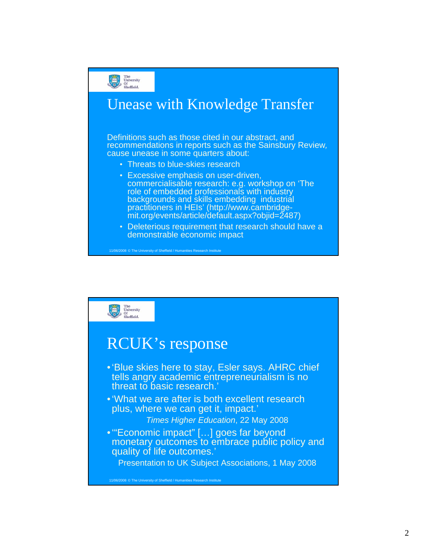![](_page_1_Picture_0.jpeg)

![](_page_1_Figure_1.jpeg)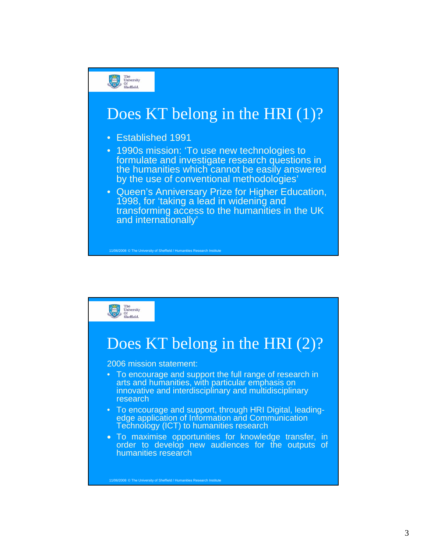![](_page_2_Figure_0.jpeg)

![](_page_2_Figure_1.jpeg)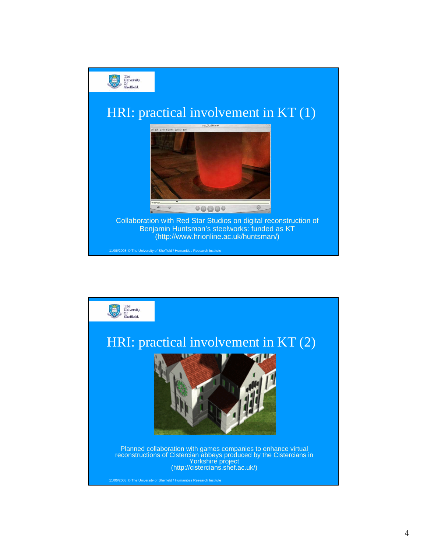![](_page_3_Picture_0.jpeg)

![](_page_3_Picture_1.jpeg)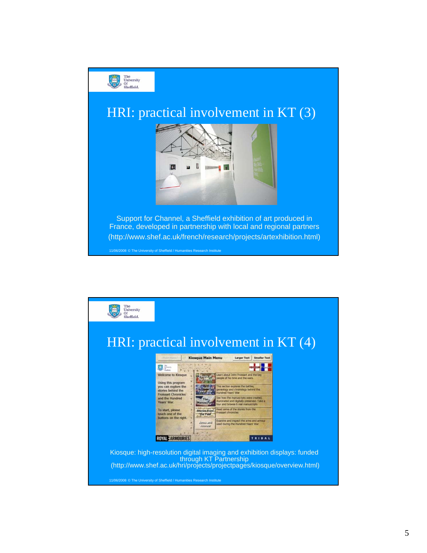![](_page_4_Picture_0.jpeg)

![](_page_4_Figure_1.jpeg)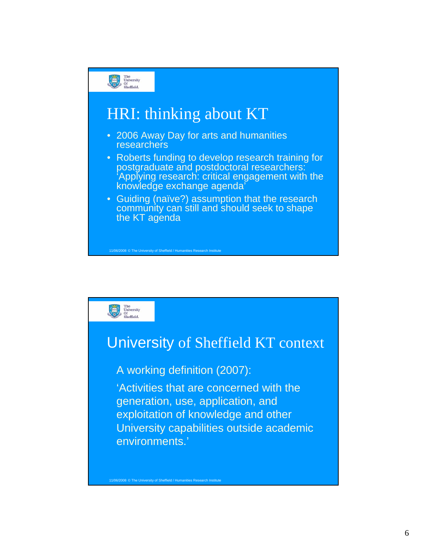![](_page_5_Figure_0.jpeg)

## HRI: thinking about KT

- 2006 Away Day for arts and humanities researchers
- Roberts funding to develop research training for postgraduate and postdoctoral researchers: 'Applying research: critical engagement with the knowledge exchange agenda
- Guiding (naïve?) assumption that the research community can still and should seek to shape the KT agenda

![](_page_5_Picture_5.jpeg)

## University of Sheffield KT context

## A working definition (2007):

11/06/2008 © The University of Sheffield / Humanities Research Institute

'Activities that are concerned with the generation, use, application, and exploitation of knowledge and other University capabilities outside academic environments.'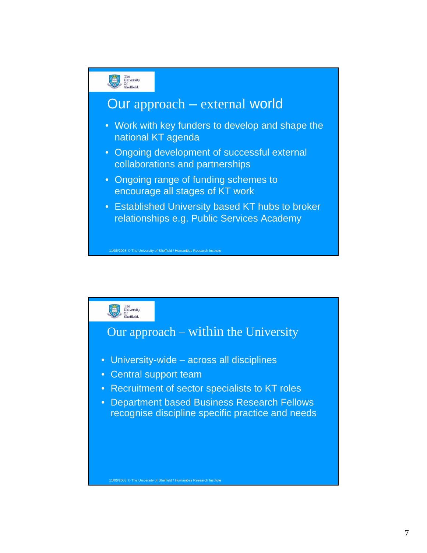![](_page_6_Figure_0.jpeg)

![](_page_6_Figure_1.jpeg)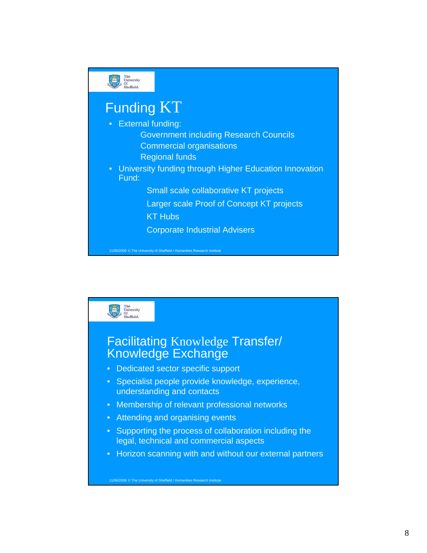![](_page_7_Figure_0.jpeg)

![](_page_7_Figure_1.jpeg)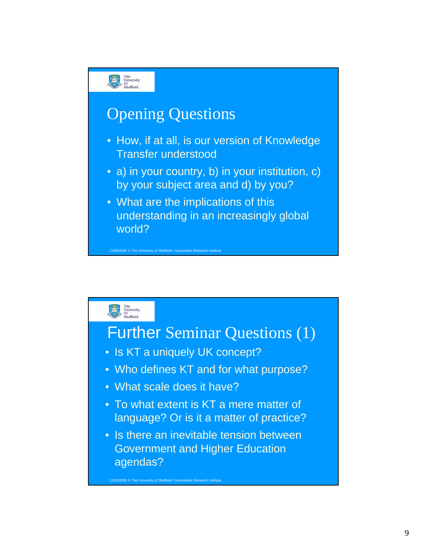![](_page_8_Figure_0.jpeg)

![](_page_8_Figure_1.jpeg)